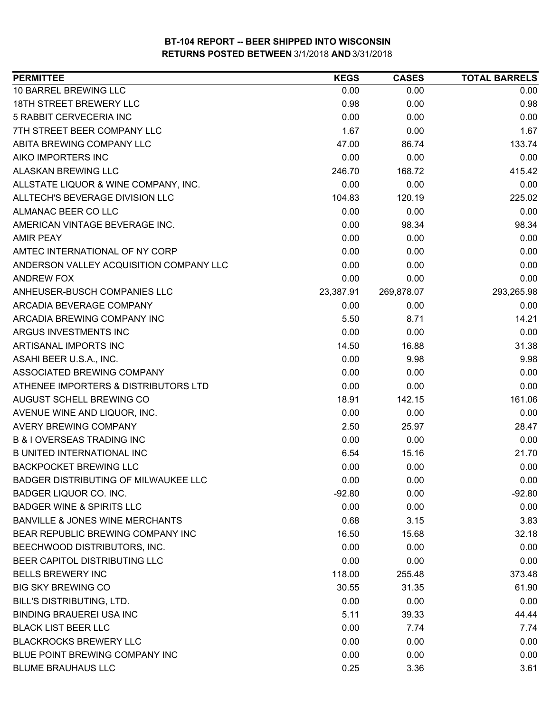| <b>PERMITTEE</b>                           | <b>KEGS</b> | <b>CASES</b> | <b>TOTAL BARRELS</b> |
|--------------------------------------------|-------------|--------------|----------------------|
| 10 BARREL BREWING LLC                      | 0.00        | 0.00         | 0.00                 |
| <b>18TH STREET BREWERY LLC</b>             | 0.98        | 0.00         | 0.98                 |
| 5 RABBIT CERVECERIA INC                    | 0.00        | 0.00         | 0.00                 |
| 7TH STREET BEER COMPANY LLC                | 1.67        | 0.00         | 1.67                 |
| ABITA BREWING COMPANY LLC                  | 47.00       | 86.74        | 133.74               |
| AIKO IMPORTERS INC                         | 0.00        | 0.00         | 0.00                 |
| ALASKAN BREWING LLC                        | 246.70      | 168.72       | 415.42               |
| ALLSTATE LIQUOR & WINE COMPANY, INC.       | 0.00        | 0.00         | 0.00                 |
| ALLTECH'S BEVERAGE DIVISION LLC            | 104.83      | 120.19       | 225.02               |
| ALMANAC BEER CO LLC                        | 0.00        | 0.00         | 0.00                 |
| AMERICAN VINTAGE BEVERAGE INC.             | 0.00        | 98.34        | 98.34                |
| <b>AMIR PEAY</b>                           | 0.00        | 0.00         | 0.00                 |
| AMTEC INTERNATIONAL OF NY CORP             | 0.00        | 0.00         | 0.00                 |
| ANDERSON VALLEY ACQUISITION COMPANY LLC    | 0.00        | 0.00         | 0.00                 |
| <b>ANDREW FOX</b>                          | 0.00        | 0.00         | 0.00                 |
| ANHEUSER-BUSCH COMPANIES LLC               | 23,387.91   | 269,878.07   | 293,265.98           |
| ARCADIA BEVERAGE COMPANY                   | 0.00        | 0.00         | 0.00                 |
| ARCADIA BREWING COMPANY INC                | 5.50        | 8.71         | 14.21                |
| ARGUS INVESTMENTS INC                      | 0.00        | 0.00         | 0.00                 |
| ARTISANAL IMPORTS INC                      | 14.50       | 16.88        | 31.38                |
| ASAHI BEER U.S.A., INC.                    | 0.00        | 9.98         | 9.98                 |
| ASSOCIATED BREWING COMPANY                 | 0.00        | 0.00         | 0.00                 |
| ATHENEE IMPORTERS & DISTRIBUTORS LTD       | 0.00        | 0.00         | 0.00                 |
| AUGUST SCHELL BREWING CO                   | 18.91       | 142.15       | 161.06               |
| AVENUE WINE AND LIQUOR, INC.               | 0.00        | 0.00         | 0.00                 |
| AVERY BREWING COMPANY                      | 2.50        | 25.97        | 28.47                |
| <b>B &amp; I OVERSEAS TRADING INC</b>      | 0.00        | 0.00         | 0.00                 |
| <b>B UNITED INTERNATIONAL INC</b>          | 6.54        | 15.16        | 21.70                |
| <b>BACKPOCKET BREWING LLC</b>              | 0.00        | 0.00         | 0.00                 |
| BADGER DISTRIBUTING OF MILWAUKEE LLC       | 0.00        | 0.00         | 0.00                 |
| BADGER LIQUOR CO. INC.                     | $-92.80$    | 0.00         | $-92.80$             |
| <b>BADGER WINE &amp; SPIRITS LLC</b>       | 0.00        | 0.00         | 0.00                 |
| <b>BANVILLE &amp; JONES WINE MERCHANTS</b> | 0.68        | 3.15         | 3.83                 |
| BEAR REPUBLIC BREWING COMPANY INC          | 16.50       | 15.68        | 32.18                |
| BEECHWOOD DISTRIBUTORS, INC.               | 0.00        | 0.00         | 0.00                 |
| BEER CAPITOL DISTRIBUTING LLC              | 0.00        | 0.00         | 0.00                 |
| <b>BELLS BREWERY INC</b>                   | 118.00      | 255.48       | 373.48               |
| <b>BIG SKY BREWING CO</b>                  | 30.55       | 31.35        | 61.90                |
| <b>BILL'S DISTRIBUTING, LTD.</b>           | 0.00        | 0.00         | 0.00                 |
| <b>BINDING BRAUEREI USA INC</b>            | 5.11        | 39.33        | 44.44                |
| <b>BLACK LIST BEER LLC</b>                 | 0.00        | 7.74         | 7.74                 |
| <b>BLACKROCKS BREWERY LLC</b>              | 0.00        | 0.00         | 0.00                 |
| BLUE POINT BREWING COMPANY INC             | 0.00        | 0.00         | 0.00                 |
| <b>BLUME BRAUHAUS LLC</b>                  | 0.25        | 3.36         | 3.61                 |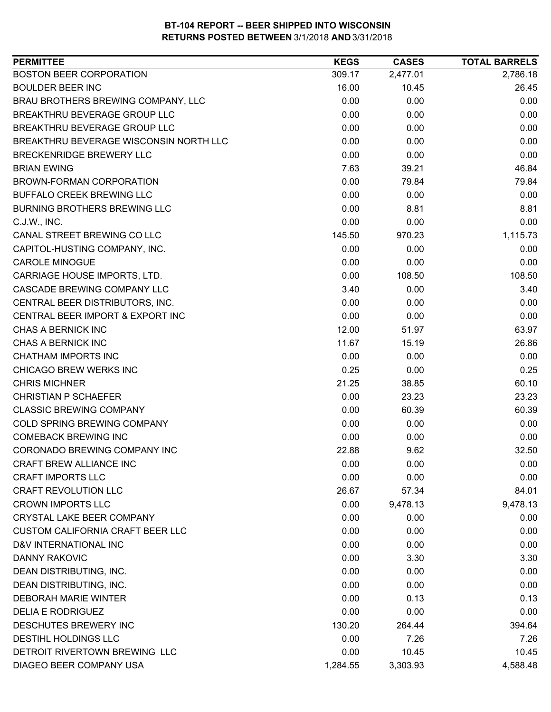| <b>PERMITTEE</b>                        | <b>KEGS</b> | <b>CASES</b> | <b>TOTAL BARRELS</b> |
|-----------------------------------------|-------------|--------------|----------------------|
| <b>BOSTON BEER CORPORATION</b>          | 309.17      | 2,477.01     | 2,786.18             |
| <b>BOULDER BEER INC</b>                 | 16.00       | 10.45        | 26.45                |
| BRAU BROTHERS BREWING COMPANY, LLC      | 0.00        | 0.00         | 0.00                 |
| BREAKTHRU BEVERAGE GROUP LLC            | 0.00        | 0.00         | 0.00                 |
| BREAKTHRU BEVERAGE GROUP LLC            | 0.00        | 0.00         | 0.00                 |
| BREAKTHRU BEVERAGE WISCONSIN NORTH LLC  | 0.00        | 0.00         | 0.00                 |
| BRECKENRIDGE BREWERY LLC                | 0.00        | 0.00         | 0.00                 |
| <b>BRIAN EWING</b>                      | 7.63        | 39.21        | 46.84                |
| BROWN-FORMAN CORPORATION                | 0.00        | 79.84        | 79.84                |
| BUFFALO CREEK BREWING LLC               | 0.00        | 0.00         | 0.00                 |
| BURNING BROTHERS BREWING LLC            | 0.00        | 8.81         | 8.81                 |
| C.J.W., INC.                            | 0.00        | 0.00         | 0.00                 |
| CANAL STREET BREWING CO LLC             | 145.50      | 970.23       | 1,115.73             |
| CAPITOL-HUSTING COMPANY, INC.           | 0.00        | 0.00         | 0.00                 |
| <b>CAROLE MINOGUE</b>                   | 0.00        | 0.00         | 0.00                 |
| CARRIAGE HOUSE IMPORTS, LTD.            | 0.00        | 108.50       | 108.50               |
| CASCADE BREWING COMPANY LLC             | 3.40        | 0.00         | 3.40                 |
| CENTRAL BEER DISTRIBUTORS, INC.         | 0.00        | 0.00         | 0.00                 |
| CENTRAL BEER IMPORT & EXPORT INC        | 0.00        | 0.00         | 0.00                 |
| CHAS A BERNICK INC                      | 12.00       | 51.97        | 63.97                |
| CHAS A BERNICK INC                      | 11.67       | 15.19        | 26.86                |
| <b>CHATHAM IMPORTS INC</b>              | 0.00        | 0.00         | 0.00                 |
| CHICAGO BREW WERKS INC                  | 0.25        | 0.00         | 0.25                 |
| <b>CHRIS MICHNER</b>                    | 21.25       | 38.85        | 60.10                |
| <b>CHRISTIAN P SCHAEFER</b>             | 0.00        | 23.23        | 23.23                |
| <b>CLASSIC BREWING COMPANY</b>          | 0.00        | 60.39        | 60.39                |
| COLD SPRING BREWING COMPANY             | 0.00        | 0.00         | 0.00                 |
| <b>COMEBACK BREWING INC</b>             | 0.00        | 0.00         | 0.00                 |
| CORONADO BREWING COMPANY INC            | 22.88       | 9.62         | 32.50                |
| CRAFT BREW ALLIANCE INC                 | 0.00        | 0.00         | 0.00                 |
| <b>CRAFT IMPORTS LLC</b>                | 0.00        | 0.00         | 0.00                 |
| <b>CRAFT REVOLUTION LLC</b>             | 26.67       | 57.34        | 84.01                |
| <b>CROWN IMPORTS LLC</b>                | 0.00        | 9,478.13     | 9,478.13             |
| CRYSTAL LAKE BEER COMPANY               | 0.00        | 0.00         | 0.00                 |
| <b>CUSTOM CALIFORNIA CRAFT BEER LLC</b> | 0.00        | 0.00         | 0.00                 |
| D&V INTERNATIONAL INC                   | 0.00        | 0.00         | 0.00                 |
| <b>DANNY RAKOVIC</b>                    | 0.00        | 3.30         | 3.30                 |
| DEAN DISTRIBUTING, INC.                 | 0.00        | 0.00         | 0.00                 |
| DEAN DISTRIBUTING, INC.                 | 0.00        | 0.00         | 0.00                 |
| <b>DEBORAH MARIE WINTER</b>             | 0.00        | 0.13         | 0.13                 |
| <b>DELIA E RODRIGUEZ</b>                | 0.00        | 0.00         | 0.00                 |
| DESCHUTES BREWERY INC                   | 130.20      | 264.44       | 394.64               |
| DESTIHL HOLDINGS LLC                    | 0.00        | 7.26         | 7.26                 |
| DETROIT RIVERTOWN BREWING LLC           | 0.00        | 10.45        | 10.45                |
| DIAGEO BEER COMPANY USA                 |             |              |                      |
|                                         | 1,284.55    | 3,303.93     | 4,588.48             |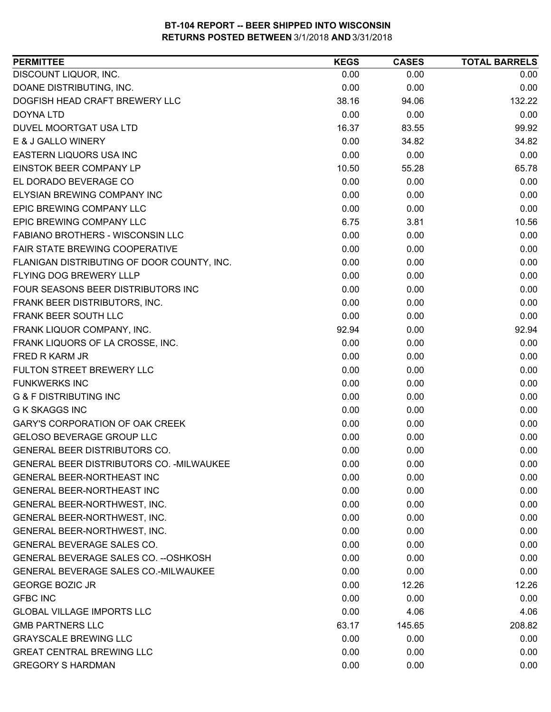| <b>PERMITTEE</b>                             | <b>KEGS</b> | <b>CASES</b> | <b>TOTAL BARRELS</b> |
|----------------------------------------------|-------------|--------------|----------------------|
| DISCOUNT LIQUOR, INC.                        | 0.00        | 0.00         | 0.00                 |
| DOANE DISTRIBUTING, INC.                     | 0.00        | 0.00         | 0.00                 |
| DOGFISH HEAD CRAFT BREWERY LLC               | 38.16       | 94.06        | 132.22               |
| <b>DOYNA LTD</b>                             | 0.00        | 0.00         | 0.00                 |
| DUVEL MOORTGAT USA LTD                       | 16.37       | 83.55        | 99.92                |
| E & J GALLO WINERY                           | 0.00        | 34.82        | 34.82                |
| EASTERN LIQUORS USA INC                      | 0.00        | 0.00         | 0.00                 |
| EINSTOK BEER COMPANY LP                      | 10.50       | 55.28        | 65.78                |
| EL DORADO BEVERAGE CO                        | 0.00        | 0.00         | 0.00                 |
| ELYSIAN BREWING COMPANY INC                  | 0.00        | 0.00         | 0.00                 |
| EPIC BREWING COMPANY LLC                     | 0.00        | 0.00         | 0.00                 |
| EPIC BREWING COMPANY LLC                     | 6.75        | 3.81         | 10.56                |
| FABIANO BROTHERS - WISCONSIN LLC             | 0.00        | 0.00         | 0.00                 |
| FAIR STATE BREWING COOPERATIVE               | 0.00        | 0.00         | 0.00                 |
| FLANIGAN DISTRIBUTING OF DOOR COUNTY, INC.   | 0.00        | 0.00         | 0.00                 |
| <b>FLYING DOG BREWERY LLLP</b>               | 0.00        | 0.00         | 0.00                 |
| FOUR SEASONS BEER DISTRIBUTORS INC           | 0.00        | 0.00         | 0.00                 |
| FRANK BEER DISTRIBUTORS, INC.                | 0.00        | 0.00         | 0.00                 |
| FRANK BEER SOUTH LLC                         | 0.00        | 0.00         | 0.00                 |
| FRANK LIQUOR COMPANY, INC.                   | 92.94       | 0.00         | 92.94                |
| FRANK LIQUORS OF LA CROSSE, INC.             | 0.00        | 0.00         | 0.00                 |
| FRED R KARM JR                               | 0.00        | 0.00         | 0.00                 |
| FULTON STREET BREWERY LLC                    | 0.00        | 0.00         | 0.00                 |
| <b>FUNKWERKS INC</b>                         | 0.00        | 0.00         | 0.00                 |
| <b>G &amp; F DISTRIBUTING INC</b>            | 0.00        | 0.00         | 0.00                 |
| <b>G K SKAGGS INC</b>                        | 0.00        | 0.00         | 0.00                 |
| <b>GARY'S CORPORATION OF OAK CREEK</b>       | 0.00        | 0.00         | 0.00                 |
| <b>GELOSO BEVERAGE GROUP LLC</b>             | 0.00        | 0.00         | 0.00                 |
| GENERAL BEER DISTRIBUTORS CO.                | 0.00        | 0.00         | 0.00                 |
| GENERAL BEER DISTRIBUTORS CO. - MILWAUKEE    | 0.00        | 0.00         | 0.00                 |
| <b>GENERAL BEER-NORTHEAST INC</b>            | 0.00        | 0.00         | 0.00                 |
| <b>GENERAL BEER-NORTHEAST INC</b>            | 0.00        | 0.00         | 0.00                 |
| GENERAL BEER-NORTHWEST, INC.                 | 0.00        | 0.00         | 0.00                 |
| GENERAL BEER-NORTHWEST, INC.                 | 0.00        | 0.00         | 0.00                 |
| GENERAL BEER-NORTHWEST, INC.                 | 0.00        | 0.00         | 0.00                 |
| <b>GENERAL BEVERAGE SALES CO.</b>            | 0.00        | 0.00         | 0.00                 |
| <b>GENERAL BEVERAGE SALES CO. -- OSHKOSH</b> | 0.00        | 0.00         | 0.00                 |
| GENERAL BEVERAGE SALES CO.-MILWAUKEE         | 0.00        | 0.00         | 0.00                 |
| <b>GEORGE BOZIC JR</b>                       | 0.00        | 12.26        | 12.26                |
| <b>GFBC INC</b>                              | 0.00        | 0.00         | 0.00                 |
| <b>GLOBAL VILLAGE IMPORTS LLC</b>            | 0.00        | 4.06         | 4.06                 |
| <b>GMB PARTNERS LLC</b>                      | 63.17       | 145.65       | 208.82               |
| <b>GRAYSCALE BREWING LLC</b>                 | 0.00        | 0.00         | 0.00                 |
| <b>GREAT CENTRAL BREWING LLC</b>             | 0.00        | 0.00         | 0.00                 |
| <b>GREGORY S HARDMAN</b>                     | 0.00        | 0.00         | 0.00                 |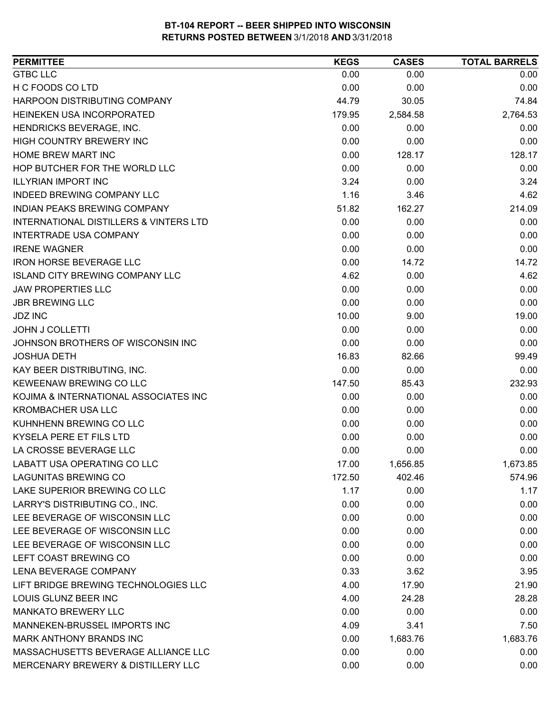| <b>PERMITTEE</b>                                  | <b>KEGS</b> | <b>CASES</b> | <b>TOTAL BARRELS</b> |
|---------------------------------------------------|-------------|--------------|----------------------|
| <b>GTBC LLC</b>                                   | 0.00        | 0.00         | 0.00                 |
| H C FOODS CO LTD                                  | 0.00        | 0.00         | 0.00                 |
| HARPOON DISTRIBUTING COMPANY                      | 44.79       | 30.05        | 74.84                |
| HEINEKEN USA INCORPORATED                         | 179.95      | 2,584.58     | 2,764.53             |
| HENDRICKS BEVERAGE, INC.                          | 0.00        | 0.00         | 0.00                 |
| HIGH COUNTRY BREWERY INC                          | 0.00        | 0.00         | 0.00                 |
| HOME BREW MART INC                                | 0.00        | 128.17       | 128.17               |
| HOP BUTCHER FOR THE WORLD LLC                     | 0.00        | 0.00         | 0.00                 |
| <b>ILLYRIAN IMPORT INC</b>                        | 3.24        | 0.00         | 3.24                 |
| INDEED BREWING COMPANY LLC                        | 1.16        | 3.46         | 4.62                 |
| INDIAN PEAKS BREWING COMPANY                      | 51.82       | 162.27       | 214.09               |
| <b>INTERNATIONAL DISTILLERS &amp; VINTERS LTD</b> | 0.00        | 0.00         | 0.00                 |
| <b>INTERTRADE USA COMPANY</b>                     | 0.00        | 0.00         | 0.00                 |
| <b>IRENE WAGNER</b>                               | 0.00        | 0.00         | 0.00                 |
| <b>IRON HORSE BEVERAGE LLC</b>                    | 0.00        | 14.72        | 14.72                |
| <b>ISLAND CITY BREWING COMPANY LLC</b>            | 4.62        | 0.00         | 4.62                 |
| <b>JAW PROPERTIES LLC</b>                         | 0.00        | 0.00         | 0.00                 |
| <b>JBR BREWING LLC</b>                            | 0.00        | 0.00         | 0.00                 |
| <b>JDZ INC</b>                                    | 10.00       | 9.00         | 19.00                |
| <b>JOHN J COLLETTI</b>                            | 0.00        | 0.00         | 0.00                 |
| JOHNSON BROTHERS OF WISCONSIN INC                 | 0.00        | 0.00         | 0.00                 |
| <b>JOSHUA DETH</b>                                | 16.83       | 82.66        | 99.49                |
| KAY BEER DISTRIBUTING, INC.                       | 0.00        | 0.00         | 0.00                 |
| KEWEENAW BREWING CO LLC                           | 147.50      | 85.43        | 232.93               |
| KOJIMA & INTERNATIONAL ASSOCIATES INC             | 0.00        | 0.00         | 0.00                 |
| <b>KROMBACHER USA LLC</b>                         | 0.00        | 0.00         | 0.00                 |
| KUHNHENN BREWING CO LLC                           | 0.00        | 0.00         | 0.00                 |
| KYSELA PERE ET FILS LTD                           | 0.00        | 0.00         | 0.00                 |
| LA CROSSE BEVERAGE LLC                            | 0.00        | 0.00         | 0.00                 |
| LABATT USA OPERATING CO LLC                       | 17.00       | 1,656.85     | 1,673.85             |
| <b>LAGUNITAS BREWING CO</b>                       | 172.50      | 402.46       | 574.96               |
| LAKE SUPERIOR BREWING CO LLC                      | 1.17        | 0.00         | 1.17                 |
| LARRY'S DISTRIBUTING CO., INC.                    | 0.00        | 0.00         | 0.00                 |
| LEE BEVERAGE OF WISCONSIN LLC                     | 0.00        | 0.00         | 0.00                 |
| LEE BEVERAGE OF WISCONSIN LLC                     | 0.00        | 0.00         | 0.00                 |
| LEE BEVERAGE OF WISCONSIN LLC                     | 0.00        | 0.00         | 0.00                 |
| LEFT COAST BREWING CO                             | 0.00        | 0.00         | 0.00                 |
| LENA BEVERAGE COMPANY                             | 0.33        | 3.62         | 3.95                 |
| LIFT BRIDGE BREWING TECHNOLOGIES LLC              | 4.00        | 17.90        | 21.90                |
| LOUIS GLUNZ BEER INC                              | 4.00        | 24.28        | 28.28                |
| <b>MANKATO BREWERY LLC</b>                        | 0.00        | 0.00         | 0.00                 |
| MANNEKEN-BRUSSEL IMPORTS INC                      | 4.09        | 3.41         | 7.50                 |
| MARK ANTHONY BRANDS INC                           | 0.00        | 1,683.76     | 1,683.76             |
| MASSACHUSETTS BEVERAGE ALLIANCE LLC               | 0.00        | 0.00         | 0.00                 |
| MERCENARY BREWERY & DISTILLERY LLC                | 0.00        | 0.00         | 0.00                 |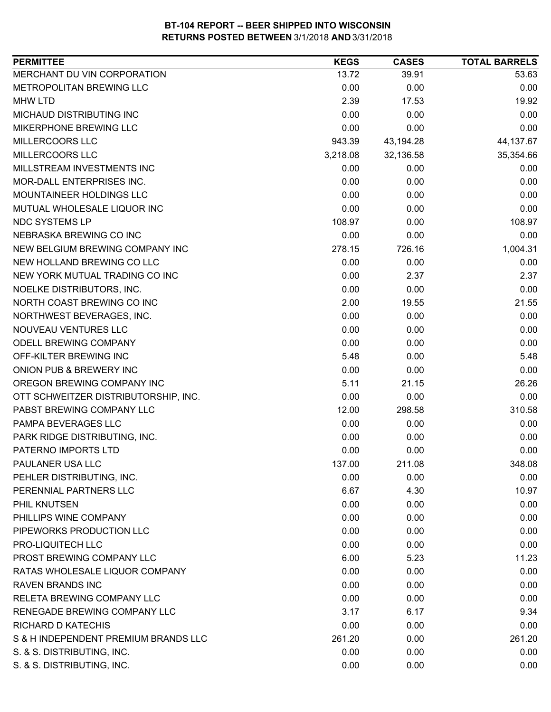| MERCHANT DU VIN CORPORATION<br>13.72<br>53.63<br>39.91<br>METROPOLITAN BREWING LLC<br>0.00<br>0.00<br>0.00<br>2.39<br><b>MHW LTD</b><br>17.53<br>19.92<br>MICHAUD DISTRIBUTING INC<br>0.00<br>0.00<br>0.00<br>0.00<br>MIKERPHONE BREWING LLC<br>0.00<br>0.00<br>MILLERCOORS LLC<br>943.39<br>43,194.28<br>44,137.67<br>MILLERCOORS LLC<br>32,136.58<br>35,354.66<br>3,218.08<br>MILLSTREAM INVESTMENTS INC<br>0.00<br>0.00<br>0.00<br>0.00<br>MOR-DALL ENTERPRISES INC.<br>0.00<br>0.00<br>MOUNTAINEER HOLDINGS LLC<br>0.00<br>0.00<br>0.00<br>MUTUAL WHOLESALE LIQUOR INC<br>0.00<br>0.00<br>0.00<br><b>NDC SYSTEMS LP</b><br>108.97<br>108.97<br>0.00<br>NEBRASKA BREWING CO INC<br>0.00<br>0.00<br>0.00<br>NEW BELGIUM BREWING COMPANY INC<br>278.15<br>726.16<br>1,004.31<br>NEW HOLLAND BREWING CO LLC<br>0.00<br>0.00<br>0.00<br>NEW YORK MUTUAL TRADING CO INC<br>0.00<br>2.37<br>2.37<br>0.00<br>NOELKE DISTRIBUTORS, INC.<br>0.00<br>0.00<br>NORTH COAST BREWING CO INC<br>2.00<br>21.55<br>19.55<br>NORTHWEST BEVERAGES, INC.<br>0.00<br>0.00<br>0.00<br>NOUVEAU VENTURES LLC<br>0.00<br>0.00<br>0.00<br>0.00<br>ODELL BREWING COMPANY<br>0.00<br>0.00<br>OFF-KILTER BREWING INC<br>5.48<br>5.48<br>0.00<br>ONION PUB & BREWERY INC<br>0.00<br>0.00<br>0.00<br>5.11<br>21.15<br>26.26<br>OREGON BREWING COMPANY INC<br>0.00<br>0.00<br>0.00<br>OTT SCHWEITZER DISTRIBUTORSHIP, INC.<br>PABST BREWING COMPANY LLC<br>310.58<br>12.00<br>298.58<br>PAMPA BEVERAGES LLC<br>0.00<br>0.00<br>0.00<br>PARK RIDGE DISTRIBUTING, INC.<br>0.00<br>0.00<br>0.00<br>0.00<br>0.00<br>PATERNO IMPORTS LTD<br>0.00<br>PAULANER USA LLC<br>137.00<br>211.08<br>348.08<br>PEHLER DISTRIBUTING, INC.<br>0.00<br>0.00<br>0.00<br>PERENNIAL PARTNERS LLC<br>6.67<br>4.30<br>10.97<br>PHIL KNUTSEN<br>0.00<br>0.00<br>0.00<br>PHILLIPS WINE COMPANY<br>0.00<br>0.00<br>0.00<br>PIPEWORKS PRODUCTION LLC<br>0.00<br>0.00<br>0.00<br>PRO-LIQUITECH LLC<br>0.00<br>0.00<br>0.00<br>PROST BREWING COMPANY LLC<br>6.00<br>5.23<br>11.23<br>RATAS WHOLESALE LIQUOR COMPANY<br>0.00<br>0.00<br>0.00<br><b>RAVEN BRANDS INC</b><br>0.00<br>0.00<br>0.00<br>RELETA BREWING COMPANY LLC<br>0.00<br>0.00<br>0.00<br>RENEGADE BREWING COMPANY LLC<br>3.17<br>9.34<br>6.17<br><b>RICHARD D KATECHIS</b><br>0.00<br>0.00<br>0.00<br>S & H INDEPENDENT PREMIUM BRANDS LLC<br>261.20<br>261.20<br>0.00<br>S. & S. DISTRIBUTING, INC.<br>0.00<br>0.00<br>0.00<br>S. & S. DISTRIBUTING, INC.<br>0.00<br>0.00<br>0.00 | <b>PERMITTEE</b> | <b>KEGS</b> | <b>CASES</b> | <b>TOTAL BARRELS</b> |
|------------------------------------------------------------------------------------------------------------------------------------------------------------------------------------------------------------------------------------------------------------------------------------------------------------------------------------------------------------------------------------------------------------------------------------------------------------------------------------------------------------------------------------------------------------------------------------------------------------------------------------------------------------------------------------------------------------------------------------------------------------------------------------------------------------------------------------------------------------------------------------------------------------------------------------------------------------------------------------------------------------------------------------------------------------------------------------------------------------------------------------------------------------------------------------------------------------------------------------------------------------------------------------------------------------------------------------------------------------------------------------------------------------------------------------------------------------------------------------------------------------------------------------------------------------------------------------------------------------------------------------------------------------------------------------------------------------------------------------------------------------------------------------------------------------------------------------------------------------------------------------------------------------------------------------------------------------------------------------------------------------------------------------------------------------------------------------------------------------------------------------------------------------------------------------------------------------------------------------------------------------------------------------------------------------------------------------------------------------------------------------------------------------------------------------------------------------------------------------------|------------------|-------------|--------------|----------------------|
|                                                                                                                                                                                                                                                                                                                                                                                                                                                                                                                                                                                                                                                                                                                                                                                                                                                                                                                                                                                                                                                                                                                                                                                                                                                                                                                                                                                                                                                                                                                                                                                                                                                                                                                                                                                                                                                                                                                                                                                                                                                                                                                                                                                                                                                                                                                                                                                                                                                                                          |                  |             |              |                      |
|                                                                                                                                                                                                                                                                                                                                                                                                                                                                                                                                                                                                                                                                                                                                                                                                                                                                                                                                                                                                                                                                                                                                                                                                                                                                                                                                                                                                                                                                                                                                                                                                                                                                                                                                                                                                                                                                                                                                                                                                                                                                                                                                                                                                                                                                                                                                                                                                                                                                                          |                  |             |              |                      |
|                                                                                                                                                                                                                                                                                                                                                                                                                                                                                                                                                                                                                                                                                                                                                                                                                                                                                                                                                                                                                                                                                                                                                                                                                                                                                                                                                                                                                                                                                                                                                                                                                                                                                                                                                                                                                                                                                                                                                                                                                                                                                                                                                                                                                                                                                                                                                                                                                                                                                          |                  |             |              |                      |
|                                                                                                                                                                                                                                                                                                                                                                                                                                                                                                                                                                                                                                                                                                                                                                                                                                                                                                                                                                                                                                                                                                                                                                                                                                                                                                                                                                                                                                                                                                                                                                                                                                                                                                                                                                                                                                                                                                                                                                                                                                                                                                                                                                                                                                                                                                                                                                                                                                                                                          |                  |             |              |                      |
|                                                                                                                                                                                                                                                                                                                                                                                                                                                                                                                                                                                                                                                                                                                                                                                                                                                                                                                                                                                                                                                                                                                                                                                                                                                                                                                                                                                                                                                                                                                                                                                                                                                                                                                                                                                                                                                                                                                                                                                                                                                                                                                                                                                                                                                                                                                                                                                                                                                                                          |                  |             |              |                      |
|                                                                                                                                                                                                                                                                                                                                                                                                                                                                                                                                                                                                                                                                                                                                                                                                                                                                                                                                                                                                                                                                                                                                                                                                                                                                                                                                                                                                                                                                                                                                                                                                                                                                                                                                                                                                                                                                                                                                                                                                                                                                                                                                                                                                                                                                                                                                                                                                                                                                                          |                  |             |              |                      |
|                                                                                                                                                                                                                                                                                                                                                                                                                                                                                                                                                                                                                                                                                                                                                                                                                                                                                                                                                                                                                                                                                                                                                                                                                                                                                                                                                                                                                                                                                                                                                                                                                                                                                                                                                                                                                                                                                                                                                                                                                                                                                                                                                                                                                                                                                                                                                                                                                                                                                          |                  |             |              |                      |
|                                                                                                                                                                                                                                                                                                                                                                                                                                                                                                                                                                                                                                                                                                                                                                                                                                                                                                                                                                                                                                                                                                                                                                                                                                                                                                                                                                                                                                                                                                                                                                                                                                                                                                                                                                                                                                                                                                                                                                                                                                                                                                                                                                                                                                                                                                                                                                                                                                                                                          |                  |             |              |                      |
|                                                                                                                                                                                                                                                                                                                                                                                                                                                                                                                                                                                                                                                                                                                                                                                                                                                                                                                                                                                                                                                                                                                                                                                                                                                                                                                                                                                                                                                                                                                                                                                                                                                                                                                                                                                                                                                                                                                                                                                                                                                                                                                                                                                                                                                                                                                                                                                                                                                                                          |                  |             |              |                      |
|                                                                                                                                                                                                                                                                                                                                                                                                                                                                                                                                                                                                                                                                                                                                                                                                                                                                                                                                                                                                                                                                                                                                                                                                                                                                                                                                                                                                                                                                                                                                                                                                                                                                                                                                                                                                                                                                                                                                                                                                                                                                                                                                                                                                                                                                                                                                                                                                                                                                                          |                  |             |              |                      |
|                                                                                                                                                                                                                                                                                                                                                                                                                                                                                                                                                                                                                                                                                                                                                                                                                                                                                                                                                                                                                                                                                                                                                                                                                                                                                                                                                                                                                                                                                                                                                                                                                                                                                                                                                                                                                                                                                                                                                                                                                                                                                                                                                                                                                                                                                                                                                                                                                                                                                          |                  |             |              |                      |
|                                                                                                                                                                                                                                                                                                                                                                                                                                                                                                                                                                                                                                                                                                                                                                                                                                                                                                                                                                                                                                                                                                                                                                                                                                                                                                                                                                                                                                                                                                                                                                                                                                                                                                                                                                                                                                                                                                                                                                                                                                                                                                                                                                                                                                                                                                                                                                                                                                                                                          |                  |             |              |                      |
|                                                                                                                                                                                                                                                                                                                                                                                                                                                                                                                                                                                                                                                                                                                                                                                                                                                                                                                                                                                                                                                                                                                                                                                                                                                                                                                                                                                                                                                                                                                                                                                                                                                                                                                                                                                                                                                                                                                                                                                                                                                                                                                                                                                                                                                                                                                                                                                                                                                                                          |                  |             |              |                      |
|                                                                                                                                                                                                                                                                                                                                                                                                                                                                                                                                                                                                                                                                                                                                                                                                                                                                                                                                                                                                                                                                                                                                                                                                                                                                                                                                                                                                                                                                                                                                                                                                                                                                                                                                                                                                                                                                                                                                                                                                                                                                                                                                                                                                                                                                                                                                                                                                                                                                                          |                  |             |              |                      |
|                                                                                                                                                                                                                                                                                                                                                                                                                                                                                                                                                                                                                                                                                                                                                                                                                                                                                                                                                                                                                                                                                                                                                                                                                                                                                                                                                                                                                                                                                                                                                                                                                                                                                                                                                                                                                                                                                                                                                                                                                                                                                                                                                                                                                                                                                                                                                                                                                                                                                          |                  |             |              |                      |
|                                                                                                                                                                                                                                                                                                                                                                                                                                                                                                                                                                                                                                                                                                                                                                                                                                                                                                                                                                                                                                                                                                                                                                                                                                                                                                                                                                                                                                                                                                                                                                                                                                                                                                                                                                                                                                                                                                                                                                                                                                                                                                                                                                                                                                                                                                                                                                                                                                                                                          |                  |             |              |                      |
|                                                                                                                                                                                                                                                                                                                                                                                                                                                                                                                                                                                                                                                                                                                                                                                                                                                                                                                                                                                                                                                                                                                                                                                                                                                                                                                                                                                                                                                                                                                                                                                                                                                                                                                                                                                                                                                                                                                                                                                                                                                                                                                                                                                                                                                                                                                                                                                                                                                                                          |                  |             |              |                      |
|                                                                                                                                                                                                                                                                                                                                                                                                                                                                                                                                                                                                                                                                                                                                                                                                                                                                                                                                                                                                                                                                                                                                                                                                                                                                                                                                                                                                                                                                                                                                                                                                                                                                                                                                                                                                                                                                                                                                                                                                                                                                                                                                                                                                                                                                                                                                                                                                                                                                                          |                  |             |              |                      |
|                                                                                                                                                                                                                                                                                                                                                                                                                                                                                                                                                                                                                                                                                                                                                                                                                                                                                                                                                                                                                                                                                                                                                                                                                                                                                                                                                                                                                                                                                                                                                                                                                                                                                                                                                                                                                                                                                                                                                                                                                                                                                                                                                                                                                                                                                                                                                                                                                                                                                          |                  |             |              |                      |
|                                                                                                                                                                                                                                                                                                                                                                                                                                                                                                                                                                                                                                                                                                                                                                                                                                                                                                                                                                                                                                                                                                                                                                                                                                                                                                                                                                                                                                                                                                                                                                                                                                                                                                                                                                                                                                                                                                                                                                                                                                                                                                                                                                                                                                                                                                                                                                                                                                                                                          |                  |             |              |                      |
|                                                                                                                                                                                                                                                                                                                                                                                                                                                                                                                                                                                                                                                                                                                                                                                                                                                                                                                                                                                                                                                                                                                                                                                                                                                                                                                                                                                                                                                                                                                                                                                                                                                                                                                                                                                                                                                                                                                                                                                                                                                                                                                                                                                                                                                                                                                                                                                                                                                                                          |                  |             |              |                      |
|                                                                                                                                                                                                                                                                                                                                                                                                                                                                                                                                                                                                                                                                                                                                                                                                                                                                                                                                                                                                                                                                                                                                                                                                                                                                                                                                                                                                                                                                                                                                                                                                                                                                                                                                                                                                                                                                                                                                                                                                                                                                                                                                                                                                                                                                                                                                                                                                                                                                                          |                  |             |              |                      |
|                                                                                                                                                                                                                                                                                                                                                                                                                                                                                                                                                                                                                                                                                                                                                                                                                                                                                                                                                                                                                                                                                                                                                                                                                                                                                                                                                                                                                                                                                                                                                                                                                                                                                                                                                                                                                                                                                                                                                                                                                                                                                                                                                                                                                                                                                                                                                                                                                                                                                          |                  |             |              |                      |
|                                                                                                                                                                                                                                                                                                                                                                                                                                                                                                                                                                                                                                                                                                                                                                                                                                                                                                                                                                                                                                                                                                                                                                                                                                                                                                                                                                                                                                                                                                                                                                                                                                                                                                                                                                                                                                                                                                                                                                                                                                                                                                                                                                                                                                                                                                                                                                                                                                                                                          |                  |             |              |                      |
|                                                                                                                                                                                                                                                                                                                                                                                                                                                                                                                                                                                                                                                                                                                                                                                                                                                                                                                                                                                                                                                                                                                                                                                                                                                                                                                                                                                                                                                                                                                                                                                                                                                                                                                                                                                                                                                                                                                                                                                                                                                                                                                                                                                                                                                                                                                                                                                                                                                                                          |                  |             |              |                      |
|                                                                                                                                                                                                                                                                                                                                                                                                                                                                                                                                                                                                                                                                                                                                                                                                                                                                                                                                                                                                                                                                                                                                                                                                                                                                                                                                                                                                                                                                                                                                                                                                                                                                                                                                                                                                                                                                                                                                                                                                                                                                                                                                                                                                                                                                                                                                                                                                                                                                                          |                  |             |              |                      |
|                                                                                                                                                                                                                                                                                                                                                                                                                                                                                                                                                                                                                                                                                                                                                                                                                                                                                                                                                                                                                                                                                                                                                                                                                                                                                                                                                                                                                                                                                                                                                                                                                                                                                                                                                                                                                                                                                                                                                                                                                                                                                                                                                                                                                                                                                                                                                                                                                                                                                          |                  |             |              |                      |
|                                                                                                                                                                                                                                                                                                                                                                                                                                                                                                                                                                                                                                                                                                                                                                                                                                                                                                                                                                                                                                                                                                                                                                                                                                                                                                                                                                                                                                                                                                                                                                                                                                                                                                                                                                                                                                                                                                                                                                                                                                                                                                                                                                                                                                                                                                                                                                                                                                                                                          |                  |             |              |                      |
|                                                                                                                                                                                                                                                                                                                                                                                                                                                                                                                                                                                                                                                                                                                                                                                                                                                                                                                                                                                                                                                                                                                                                                                                                                                                                                                                                                                                                                                                                                                                                                                                                                                                                                                                                                                                                                                                                                                                                                                                                                                                                                                                                                                                                                                                                                                                                                                                                                                                                          |                  |             |              |                      |
|                                                                                                                                                                                                                                                                                                                                                                                                                                                                                                                                                                                                                                                                                                                                                                                                                                                                                                                                                                                                                                                                                                                                                                                                                                                                                                                                                                                                                                                                                                                                                                                                                                                                                                                                                                                                                                                                                                                                                                                                                                                                                                                                                                                                                                                                                                                                                                                                                                                                                          |                  |             |              |                      |
|                                                                                                                                                                                                                                                                                                                                                                                                                                                                                                                                                                                                                                                                                                                                                                                                                                                                                                                                                                                                                                                                                                                                                                                                                                                                                                                                                                                                                                                                                                                                                                                                                                                                                                                                                                                                                                                                                                                                                                                                                                                                                                                                                                                                                                                                                                                                                                                                                                                                                          |                  |             |              |                      |
|                                                                                                                                                                                                                                                                                                                                                                                                                                                                                                                                                                                                                                                                                                                                                                                                                                                                                                                                                                                                                                                                                                                                                                                                                                                                                                                                                                                                                                                                                                                                                                                                                                                                                                                                                                                                                                                                                                                                                                                                                                                                                                                                                                                                                                                                                                                                                                                                                                                                                          |                  |             |              |                      |
|                                                                                                                                                                                                                                                                                                                                                                                                                                                                                                                                                                                                                                                                                                                                                                                                                                                                                                                                                                                                                                                                                                                                                                                                                                                                                                                                                                                                                                                                                                                                                                                                                                                                                                                                                                                                                                                                                                                                                                                                                                                                                                                                                                                                                                                                                                                                                                                                                                                                                          |                  |             |              |                      |
|                                                                                                                                                                                                                                                                                                                                                                                                                                                                                                                                                                                                                                                                                                                                                                                                                                                                                                                                                                                                                                                                                                                                                                                                                                                                                                                                                                                                                                                                                                                                                                                                                                                                                                                                                                                                                                                                                                                                                                                                                                                                                                                                                                                                                                                                                                                                                                                                                                                                                          |                  |             |              |                      |
|                                                                                                                                                                                                                                                                                                                                                                                                                                                                                                                                                                                                                                                                                                                                                                                                                                                                                                                                                                                                                                                                                                                                                                                                                                                                                                                                                                                                                                                                                                                                                                                                                                                                                                                                                                                                                                                                                                                                                                                                                                                                                                                                                                                                                                                                                                                                                                                                                                                                                          |                  |             |              |                      |
|                                                                                                                                                                                                                                                                                                                                                                                                                                                                                                                                                                                                                                                                                                                                                                                                                                                                                                                                                                                                                                                                                                                                                                                                                                                                                                                                                                                                                                                                                                                                                                                                                                                                                                                                                                                                                                                                                                                                                                                                                                                                                                                                                                                                                                                                                                                                                                                                                                                                                          |                  |             |              |                      |
|                                                                                                                                                                                                                                                                                                                                                                                                                                                                                                                                                                                                                                                                                                                                                                                                                                                                                                                                                                                                                                                                                                                                                                                                                                                                                                                                                                                                                                                                                                                                                                                                                                                                                                                                                                                                                                                                                                                                                                                                                                                                                                                                                                                                                                                                                                                                                                                                                                                                                          |                  |             |              |                      |
|                                                                                                                                                                                                                                                                                                                                                                                                                                                                                                                                                                                                                                                                                                                                                                                                                                                                                                                                                                                                                                                                                                                                                                                                                                                                                                                                                                                                                                                                                                                                                                                                                                                                                                                                                                                                                                                                                                                                                                                                                                                                                                                                                                                                                                                                                                                                                                                                                                                                                          |                  |             |              |                      |
|                                                                                                                                                                                                                                                                                                                                                                                                                                                                                                                                                                                                                                                                                                                                                                                                                                                                                                                                                                                                                                                                                                                                                                                                                                                                                                                                                                                                                                                                                                                                                                                                                                                                                                                                                                                                                                                                                                                                                                                                                                                                                                                                                                                                                                                                                                                                                                                                                                                                                          |                  |             |              |                      |
|                                                                                                                                                                                                                                                                                                                                                                                                                                                                                                                                                                                                                                                                                                                                                                                                                                                                                                                                                                                                                                                                                                                                                                                                                                                                                                                                                                                                                                                                                                                                                                                                                                                                                                                                                                                                                                                                                                                                                                                                                                                                                                                                                                                                                                                                                                                                                                                                                                                                                          |                  |             |              |                      |
|                                                                                                                                                                                                                                                                                                                                                                                                                                                                                                                                                                                                                                                                                                                                                                                                                                                                                                                                                                                                                                                                                                                                                                                                                                                                                                                                                                                                                                                                                                                                                                                                                                                                                                                                                                                                                                                                                                                                                                                                                                                                                                                                                                                                                                                                                                                                                                                                                                                                                          |                  |             |              |                      |
|                                                                                                                                                                                                                                                                                                                                                                                                                                                                                                                                                                                                                                                                                                                                                                                                                                                                                                                                                                                                                                                                                                                                                                                                                                                                                                                                                                                                                                                                                                                                                                                                                                                                                                                                                                                                                                                                                                                                                                                                                                                                                                                                                                                                                                                                                                                                                                                                                                                                                          |                  |             |              |                      |
|                                                                                                                                                                                                                                                                                                                                                                                                                                                                                                                                                                                                                                                                                                                                                                                                                                                                                                                                                                                                                                                                                                                                                                                                                                                                                                                                                                                                                                                                                                                                                                                                                                                                                                                                                                                                                                                                                                                                                                                                                                                                                                                                                                                                                                                                                                                                                                                                                                                                                          |                  |             |              |                      |
|                                                                                                                                                                                                                                                                                                                                                                                                                                                                                                                                                                                                                                                                                                                                                                                                                                                                                                                                                                                                                                                                                                                                                                                                                                                                                                                                                                                                                                                                                                                                                                                                                                                                                                                                                                                                                                                                                                                                                                                                                                                                                                                                                                                                                                                                                                                                                                                                                                                                                          |                  |             |              |                      |
|                                                                                                                                                                                                                                                                                                                                                                                                                                                                                                                                                                                                                                                                                                                                                                                                                                                                                                                                                                                                                                                                                                                                                                                                                                                                                                                                                                                                                                                                                                                                                                                                                                                                                                                                                                                                                                                                                                                                                                                                                                                                                                                                                                                                                                                                                                                                                                                                                                                                                          |                  |             |              |                      |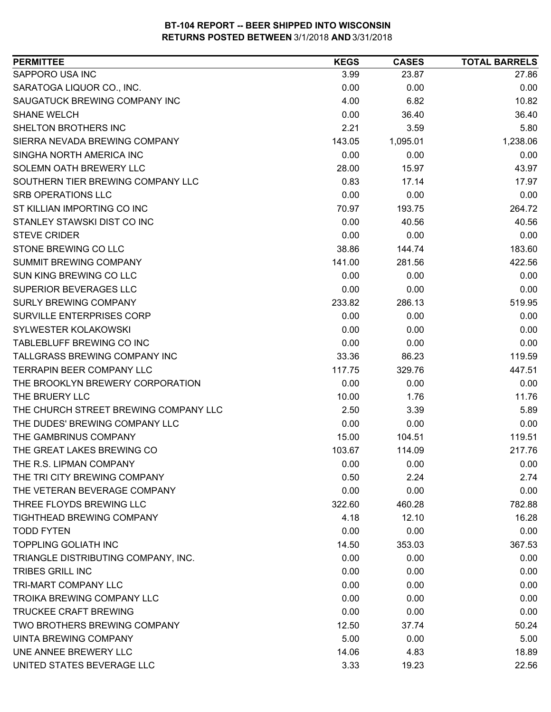| SAPPORO USA INC<br>27.86<br>3.99<br>23.87<br>SARATOGA LIQUOR CO., INC.<br>0.00<br>0.00<br>0.00<br>SAUGATUCK BREWING COMPANY INC<br>10.82<br>4.00<br>6.82<br>36.40<br><b>SHANE WELCH</b><br>0.00<br>36.40<br>2.21<br>5.80<br>SHELTON BROTHERS INC<br>3.59<br>SIERRA NEVADA BREWING COMPANY<br>1,238.06<br>143.05<br>1,095.01<br>SINGHA NORTH AMERICA INC<br>0.00<br>0.00<br>0.00<br>SOLEMN OATH BREWERY LLC<br>43.97<br>28.00<br>15.97<br>SOUTHERN TIER BREWING COMPANY LLC<br>0.83<br>17.97<br>17.14<br><b>SRB OPERATIONS LLC</b><br>0.00<br>0.00<br>0.00<br>ST KILLIAN IMPORTING CO INC<br>264.72<br>70.97<br>193.75<br>40.56<br>STANLEY STAWSKI DIST CO INC<br>0.00<br>40.56<br><b>STEVE CRIDER</b><br>0.00<br>0.00<br>0.00<br>STONE BREWING CO LLC<br>183.60<br>38.86<br>144.74<br><b>SUMMIT BREWING COMPANY</b><br>422.56<br>141.00<br>281.56<br>SUN KING BREWING CO LLC<br>0.00<br>0.00<br>0.00<br><b>SUPERIOR BEVERAGES LLC</b><br>0.00<br>0.00<br>0.00<br><b>SURLY BREWING COMPANY</b><br>519.95<br>233.82<br>286.13<br>SURVILLE ENTERPRISES CORP<br>0.00<br>0.00<br>0.00<br><b>SYLWESTER KOLAKOWSKI</b><br>0.00<br>0.00<br>0.00<br>TABLEBLUFF BREWING CO INC<br>0.00<br>0.00<br>0.00<br>TALLGRASS BREWING COMPANY INC<br>33.36<br>86.23<br>119.59<br><b>TERRAPIN BEER COMPANY LLC</b><br>447.51<br>117.75<br>329.76<br>THE BROOKLYN BREWERY CORPORATION<br>0.00<br>0.00<br>0.00<br>11.76<br>THE BRUERY LLC<br>10.00<br>1.76<br>THE CHURCH STREET BREWING COMPANY LLC<br>2.50<br>3.39<br>5.89<br>THE DUDES' BREWING COMPANY LLC<br>0.00<br>0.00<br>0.00<br>THE GAMBRINUS COMPANY<br>15.00<br>119.51<br>104.51<br>THE GREAT LAKES BREWING CO<br>217.76<br>103.67<br>114.09<br>THE R.S. LIPMAN COMPANY<br>0.00<br>0.00<br>0.00<br>0.50<br>2.74<br>THE TRI CITY BREWING COMPANY<br>2.24 |
|---------------------------------------------------------------------------------------------------------------------------------------------------------------------------------------------------------------------------------------------------------------------------------------------------------------------------------------------------------------------------------------------------------------------------------------------------------------------------------------------------------------------------------------------------------------------------------------------------------------------------------------------------------------------------------------------------------------------------------------------------------------------------------------------------------------------------------------------------------------------------------------------------------------------------------------------------------------------------------------------------------------------------------------------------------------------------------------------------------------------------------------------------------------------------------------------------------------------------------------------------------------------------------------------------------------------------------------------------------------------------------------------------------------------------------------------------------------------------------------------------------------------------------------------------------------------------------------------------------------------------------------------------------------------------------------------------------------------------------------------------------------------------------------------|
|                                                                                                                                                                                                                                                                                                                                                                                                                                                                                                                                                                                                                                                                                                                                                                                                                                                                                                                                                                                                                                                                                                                                                                                                                                                                                                                                                                                                                                                                                                                                                                                                                                                                                                                                                                                             |
|                                                                                                                                                                                                                                                                                                                                                                                                                                                                                                                                                                                                                                                                                                                                                                                                                                                                                                                                                                                                                                                                                                                                                                                                                                                                                                                                                                                                                                                                                                                                                                                                                                                                                                                                                                                             |
|                                                                                                                                                                                                                                                                                                                                                                                                                                                                                                                                                                                                                                                                                                                                                                                                                                                                                                                                                                                                                                                                                                                                                                                                                                                                                                                                                                                                                                                                                                                                                                                                                                                                                                                                                                                             |
|                                                                                                                                                                                                                                                                                                                                                                                                                                                                                                                                                                                                                                                                                                                                                                                                                                                                                                                                                                                                                                                                                                                                                                                                                                                                                                                                                                                                                                                                                                                                                                                                                                                                                                                                                                                             |
|                                                                                                                                                                                                                                                                                                                                                                                                                                                                                                                                                                                                                                                                                                                                                                                                                                                                                                                                                                                                                                                                                                                                                                                                                                                                                                                                                                                                                                                                                                                                                                                                                                                                                                                                                                                             |
|                                                                                                                                                                                                                                                                                                                                                                                                                                                                                                                                                                                                                                                                                                                                                                                                                                                                                                                                                                                                                                                                                                                                                                                                                                                                                                                                                                                                                                                                                                                                                                                                                                                                                                                                                                                             |
|                                                                                                                                                                                                                                                                                                                                                                                                                                                                                                                                                                                                                                                                                                                                                                                                                                                                                                                                                                                                                                                                                                                                                                                                                                                                                                                                                                                                                                                                                                                                                                                                                                                                                                                                                                                             |
|                                                                                                                                                                                                                                                                                                                                                                                                                                                                                                                                                                                                                                                                                                                                                                                                                                                                                                                                                                                                                                                                                                                                                                                                                                                                                                                                                                                                                                                                                                                                                                                                                                                                                                                                                                                             |
|                                                                                                                                                                                                                                                                                                                                                                                                                                                                                                                                                                                                                                                                                                                                                                                                                                                                                                                                                                                                                                                                                                                                                                                                                                                                                                                                                                                                                                                                                                                                                                                                                                                                                                                                                                                             |
|                                                                                                                                                                                                                                                                                                                                                                                                                                                                                                                                                                                                                                                                                                                                                                                                                                                                                                                                                                                                                                                                                                                                                                                                                                                                                                                                                                                                                                                                                                                                                                                                                                                                                                                                                                                             |
|                                                                                                                                                                                                                                                                                                                                                                                                                                                                                                                                                                                                                                                                                                                                                                                                                                                                                                                                                                                                                                                                                                                                                                                                                                                                                                                                                                                                                                                                                                                                                                                                                                                                                                                                                                                             |
|                                                                                                                                                                                                                                                                                                                                                                                                                                                                                                                                                                                                                                                                                                                                                                                                                                                                                                                                                                                                                                                                                                                                                                                                                                                                                                                                                                                                                                                                                                                                                                                                                                                                                                                                                                                             |
|                                                                                                                                                                                                                                                                                                                                                                                                                                                                                                                                                                                                                                                                                                                                                                                                                                                                                                                                                                                                                                                                                                                                                                                                                                                                                                                                                                                                                                                                                                                                                                                                                                                                                                                                                                                             |
|                                                                                                                                                                                                                                                                                                                                                                                                                                                                                                                                                                                                                                                                                                                                                                                                                                                                                                                                                                                                                                                                                                                                                                                                                                                                                                                                                                                                                                                                                                                                                                                                                                                                                                                                                                                             |
|                                                                                                                                                                                                                                                                                                                                                                                                                                                                                                                                                                                                                                                                                                                                                                                                                                                                                                                                                                                                                                                                                                                                                                                                                                                                                                                                                                                                                                                                                                                                                                                                                                                                                                                                                                                             |
|                                                                                                                                                                                                                                                                                                                                                                                                                                                                                                                                                                                                                                                                                                                                                                                                                                                                                                                                                                                                                                                                                                                                                                                                                                                                                                                                                                                                                                                                                                                                                                                                                                                                                                                                                                                             |
|                                                                                                                                                                                                                                                                                                                                                                                                                                                                                                                                                                                                                                                                                                                                                                                                                                                                                                                                                                                                                                                                                                                                                                                                                                                                                                                                                                                                                                                                                                                                                                                                                                                                                                                                                                                             |
|                                                                                                                                                                                                                                                                                                                                                                                                                                                                                                                                                                                                                                                                                                                                                                                                                                                                                                                                                                                                                                                                                                                                                                                                                                                                                                                                                                                                                                                                                                                                                                                                                                                                                                                                                                                             |
|                                                                                                                                                                                                                                                                                                                                                                                                                                                                                                                                                                                                                                                                                                                                                                                                                                                                                                                                                                                                                                                                                                                                                                                                                                                                                                                                                                                                                                                                                                                                                                                                                                                                                                                                                                                             |
|                                                                                                                                                                                                                                                                                                                                                                                                                                                                                                                                                                                                                                                                                                                                                                                                                                                                                                                                                                                                                                                                                                                                                                                                                                                                                                                                                                                                                                                                                                                                                                                                                                                                                                                                                                                             |
|                                                                                                                                                                                                                                                                                                                                                                                                                                                                                                                                                                                                                                                                                                                                                                                                                                                                                                                                                                                                                                                                                                                                                                                                                                                                                                                                                                                                                                                                                                                                                                                                                                                                                                                                                                                             |
|                                                                                                                                                                                                                                                                                                                                                                                                                                                                                                                                                                                                                                                                                                                                                                                                                                                                                                                                                                                                                                                                                                                                                                                                                                                                                                                                                                                                                                                                                                                                                                                                                                                                                                                                                                                             |
|                                                                                                                                                                                                                                                                                                                                                                                                                                                                                                                                                                                                                                                                                                                                                                                                                                                                                                                                                                                                                                                                                                                                                                                                                                                                                                                                                                                                                                                                                                                                                                                                                                                                                                                                                                                             |
|                                                                                                                                                                                                                                                                                                                                                                                                                                                                                                                                                                                                                                                                                                                                                                                                                                                                                                                                                                                                                                                                                                                                                                                                                                                                                                                                                                                                                                                                                                                                                                                                                                                                                                                                                                                             |
|                                                                                                                                                                                                                                                                                                                                                                                                                                                                                                                                                                                                                                                                                                                                                                                                                                                                                                                                                                                                                                                                                                                                                                                                                                                                                                                                                                                                                                                                                                                                                                                                                                                                                                                                                                                             |
|                                                                                                                                                                                                                                                                                                                                                                                                                                                                                                                                                                                                                                                                                                                                                                                                                                                                                                                                                                                                                                                                                                                                                                                                                                                                                                                                                                                                                                                                                                                                                                                                                                                                                                                                                                                             |
|                                                                                                                                                                                                                                                                                                                                                                                                                                                                                                                                                                                                                                                                                                                                                                                                                                                                                                                                                                                                                                                                                                                                                                                                                                                                                                                                                                                                                                                                                                                                                                                                                                                                                                                                                                                             |
|                                                                                                                                                                                                                                                                                                                                                                                                                                                                                                                                                                                                                                                                                                                                                                                                                                                                                                                                                                                                                                                                                                                                                                                                                                                                                                                                                                                                                                                                                                                                                                                                                                                                                                                                                                                             |
|                                                                                                                                                                                                                                                                                                                                                                                                                                                                                                                                                                                                                                                                                                                                                                                                                                                                                                                                                                                                                                                                                                                                                                                                                                                                                                                                                                                                                                                                                                                                                                                                                                                                                                                                                                                             |
|                                                                                                                                                                                                                                                                                                                                                                                                                                                                                                                                                                                                                                                                                                                                                                                                                                                                                                                                                                                                                                                                                                                                                                                                                                                                                                                                                                                                                                                                                                                                                                                                                                                                                                                                                                                             |
|                                                                                                                                                                                                                                                                                                                                                                                                                                                                                                                                                                                                                                                                                                                                                                                                                                                                                                                                                                                                                                                                                                                                                                                                                                                                                                                                                                                                                                                                                                                                                                                                                                                                                                                                                                                             |
| THE VETERAN BEVERAGE COMPANY<br>0.00<br>0.00<br>0.00                                                                                                                                                                                                                                                                                                                                                                                                                                                                                                                                                                                                                                                                                                                                                                                                                                                                                                                                                                                                                                                                                                                                                                                                                                                                                                                                                                                                                                                                                                                                                                                                                                                                                                                                        |
| THREE FLOYDS BREWING LLC<br>782.88<br>322.60<br>460.28                                                                                                                                                                                                                                                                                                                                                                                                                                                                                                                                                                                                                                                                                                                                                                                                                                                                                                                                                                                                                                                                                                                                                                                                                                                                                                                                                                                                                                                                                                                                                                                                                                                                                                                                      |
| 16.28<br><b>TIGHTHEAD BREWING COMPANY</b><br>4.18<br>12.10                                                                                                                                                                                                                                                                                                                                                                                                                                                                                                                                                                                                                                                                                                                                                                                                                                                                                                                                                                                                                                                                                                                                                                                                                                                                                                                                                                                                                                                                                                                                                                                                                                                                                                                                  |
| <b>TODD FYTEN</b><br>0.00<br>0.00<br>0.00                                                                                                                                                                                                                                                                                                                                                                                                                                                                                                                                                                                                                                                                                                                                                                                                                                                                                                                                                                                                                                                                                                                                                                                                                                                                                                                                                                                                                                                                                                                                                                                                                                                                                                                                                   |
| <b>TOPPLING GOLIATH INC</b><br>14.50<br>353.03<br>367.53                                                                                                                                                                                                                                                                                                                                                                                                                                                                                                                                                                                                                                                                                                                                                                                                                                                                                                                                                                                                                                                                                                                                                                                                                                                                                                                                                                                                                                                                                                                                                                                                                                                                                                                                    |
| TRIANGLE DISTRIBUTING COMPANY, INC.<br>0.00<br>0.00<br>0.00                                                                                                                                                                                                                                                                                                                                                                                                                                                                                                                                                                                                                                                                                                                                                                                                                                                                                                                                                                                                                                                                                                                                                                                                                                                                                                                                                                                                                                                                                                                                                                                                                                                                                                                                 |
| <b>TRIBES GRILL INC</b><br>0.00<br>0.00<br>0.00                                                                                                                                                                                                                                                                                                                                                                                                                                                                                                                                                                                                                                                                                                                                                                                                                                                                                                                                                                                                                                                                                                                                                                                                                                                                                                                                                                                                                                                                                                                                                                                                                                                                                                                                             |
| TRI-MART COMPANY LLC<br>0.00<br>0.00<br>0.00                                                                                                                                                                                                                                                                                                                                                                                                                                                                                                                                                                                                                                                                                                                                                                                                                                                                                                                                                                                                                                                                                                                                                                                                                                                                                                                                                                                                                                                                                                                                                                                                                                                                                                                                                |
| <b>TROIKA BREWING COMPANY LLC</b><br>0.00<br>0.00<br>0.00                                                                                                                                                                                                                                                                                                                                                                                                                                                                                                                                                                                                                                                                                                                                                                                                                                                                                                                                                                                                                                                                                                                                                                                                                                                                                                                                                                                                                                                                                                                                                                                                                                                                                                                                   |
| <b>TRUCKEE CRAFT BREWING</b><br>0.00<br>0.00<br>0.00                                                                                                                                                                                                                                                                                                                                                                                                                                                                                                                                                                                                                                                                                                                                                                                                                                                                                                                                                                                                                                                                                                                                                                                                                                                                                                                                                                                                                                                                                                                                                                                                                                                                                                                                        |
| TWO BROTHERS BREWING COMPANY<br>12.50<br>50.24<br>37.74                                                                                                                                                                                                                                                                                                                                                                                                                                                                                                                                                                                                                                                                                                                                                                                                                                                                                                                                                                                                                                                                                                                                                                                                                                                                                                                                                                                                                                                                                                                                                                                                                                                                                                                                     |
| 5.00<br>5.00<br>UINTA BREWING COMPANY<br>0.00                                                                                                                                                                                                                                                                                                                                                                                                                                                                                                                                                                                                                                                                                                                                                                                                                                                                                                                                                                                                                                                                                                                                                                                                                                                                                                                                                                                                                                                                                                                                                                                                                                                                                                                                               |
| UNE ANNEE BREWERY LLC<br>18.89<br>14.06<br>4.83                                                                                                                                                                                                                                                                                                                                                                                                                                                                                                                                                                                                                                                                                                                                                                                                                                                                                                                                                                                                                                                                                                                                                                                                                                                                                                                                                                                                                                                                                                                                                                                                                                                                                                                                             |
| UNITED STATES BEVERAGE LLC<br>3.33<br>22.56<br>19.23                                                                                                                                                                                                                                                                                                                                                                                                                                                                                                                                                                                                                                                                                                                                                                                                                                                                                                                                                                                                                                                                                                                                                                                                                                                                                                                                                                                                                                                                                                                                                                                                                                                                                                                                        |